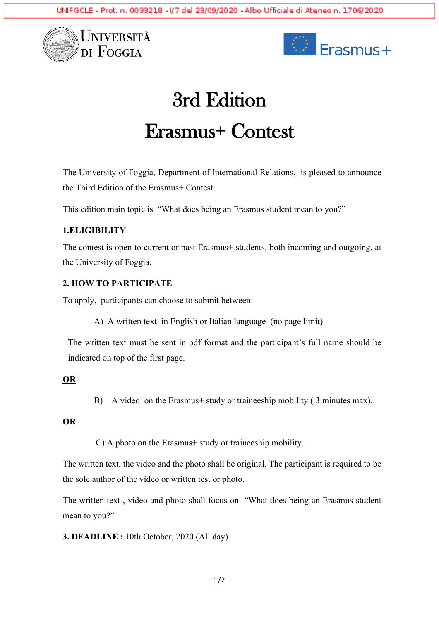



# 3rd Edition Erasmus+ Contest

The University of Foggia, Department of International Relations, is pleased to announce the Third Edition of the Erasmus+ Contest.

This edition main topic is "What does being an Erasmus student mean to you?"

## **1.ELIGIBILITY**

The contest is open to current or past Erasmus+ students, both incoming and outgoing, at the University of Foggia.

#### **2. HOW TO PARTICIPATE**

To apply, participants can choose to submit between:

A) A written text in English or Italian language (no page limit).

The written text must be sent in pdf format and the participant's full name should be indicated on top of the first page.

## **OR**

B) A video on the Erasmus+ study or traineeship mobility ( 3 minutes max).

## **OR**

C) A photo on the Erasmus+ study or traineeship mobility.

The written text, the video and the photo shall be original. The participant is required to be the sole author of the video or written test or photo.

The written text , video and photo shall focus on "What does being an Erasmus student mean to you?"

**3. DEADLINE :** 10th October, 2020 (All day)